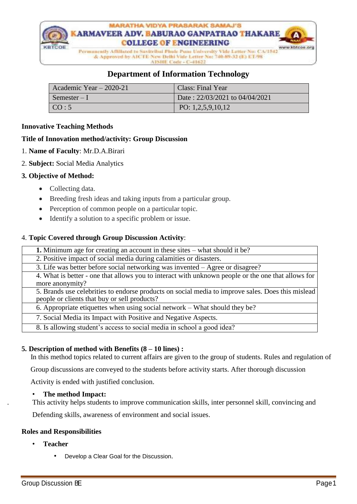

## **Department of Information Technology**

| Academic Year $-2020-21$    | Class: Final Year              |
|-----------------------------|--------------------------------|
| $\blacksquare$ Semester – I | Date: 22/03/2021 to 04/04/2021 |
| $\sqrt{CO:5}$               | PO: $1,2,5,9,10,12$            |

#### **Innovative Teaching Methods**

#### **Title of Innovation method/activity: Group Discussion**

- 1. **Name of Faculty**: Mr.D.A.Birari
- 2. **Subject:** Social Media Analytics

#### **3. Objective of Method:**

- Collecting data.
- Breeding fresh ideas and taking inputs from a particular group.
- Perception of common people on a particular topic.
- Identify a solution to a specific problem or issue.

#### 4. **Topic Covered through Group Discussion Activity**:

| <b>1.</b> Minimum age for creating an account in these sites – what should it be?                                                                 |
|---------------------------------------------------------------------------------------------------------------------------------------------------|
| 2. Positive impact of social media during calamities or disasters.                                                                                |
| 3. Life was better before social networking was invented – Agree or disagree?                                                                     |
| 4. What is better - one that allows you to interact with unknown people or the one that allows for<br>more anonymity?                             |
| 5. Brands use celebrities to endorse products on social media to improve sales. Does this mislead<br>people or clients that buy or sell products? |
| 6. Appropriate etiquettes when using social network – What should they be?                                                                        |
| 7. Social Media its Impact with Positive and Negative Aspects.                                                                                    |
| 8. Is allowing student's access to social media in school a good idea?                                                                            |

#### **5. Description of method with Benefits (8 – 10 lines) :**

In this method topics related to current affairs are given to the group of students. Rules and regulation of

Group discussions are conveyed to the students before activity starts. After thorough discussion

Activity is ended with justified conclusion.

#### • **The method Impact:**

. This activity helps students to improve communication skills, inter personnel skill, convincing and

Defending skills, awareness of environment and social issues.

#### **Roles and Responsibilities**

- **Teacher**
	- Develop a Clear Goal for the Discussion.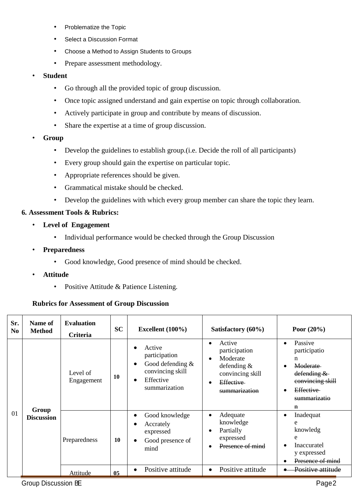- Problematize the Topic
- Select a Discussion Format
- Choose a Method to Assign Students to Groups
- Prepare assessment methodology.
- **Student**
	- Go through all the provided topic of group discussion.
	- Once topic assigned understand and gain expertise on topic through collaboration.
	- Actively participate in group and contribute by means of discussion.
	- Share the expertise at a time of group discussion.
- **Group**
	- Develop the guidelines to establish group.(i.e. Decide the roll of all participants)
	- Every group should gain the expertise on particular topic.
	- Appropriate references should be given.
	- Grammatical mistake should be checked.
	- Develop the guidelines with which every group member can share the topic they learn.

### **6. Assessment Tools & Rubrics:**

- **Level of Engagement**
	- Individual performance would be checked through the Group Discussion
- **Preparedness**
	- Good knowledge, Good presence of mind should be checked.
- **Attitude**
	- Positive Attitude & Patience Listening.

#### **Rubrics for Assessment of Group Discussion**

| Sr.<br>N <sub>0</sub> | Name of<br><b>Method</b>   | <b>Evaluation</b><br>Criteria | <b>SC</b> | Excellent $(100\%)$                                                                             | Satisfactory (60%)                                                                                     | Poor $(20\%)$                                                                                                                                      |
|-----------------------|----------------------------|-------------------------------|-----------|-------------------------------------------------------------------------------------------------|--------------------------------------------------------------------------------------------------------|----------------------------------------------------------------------------------------------------------------------------------------------------|
|                       |                            | Level of<br>Engagement        | 10        | Active<br>participation<br>Good defending $&$<br>convincing skill<br>Effective<br>summarization | Active<br>participation<br>Moderate<br>defending $&$<br>convincing skill<br>Effective<br>summarization | Passive<br>$\bullet$<br>participatio<br>n<br><b>Moderate</b><br>defending &<br>convincing skill<br><b>Effective</b><br>summarizatio<br>$\mathbf n$ |
| 01                    | Group<br><b>Discussion</b> | Preparedness                  | 10        | Good knowledge<br>Accrately<br>expressed<br>Good presence of<br>mind                            | Adequate<br>knowledge<br>Partially<br>expressed<br>Presence of mind                                    | Inadequat<br>٠<br>e<br>knowledg<br>e<br><b>Inaccuratel</b><br>$\bullet$<br>y expressed<br>Presence of mind                                         |
|                       |                            | Attitude                      | 05        | Positive attitude                                                                               | Positive attitude<br>$\bullet$                                                                         | Positive attitude                                                                                                                                  |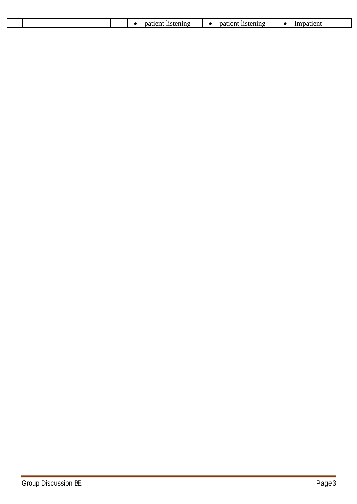| $\sim$ |  |  |  |      |  |
|--------|--|--|--|------|--|
|        |  |  |  | -- - |  |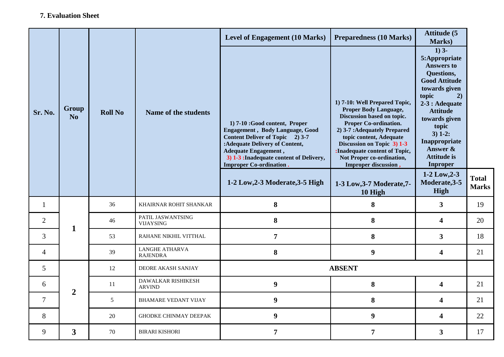|                |                                                                   |    |                                     | <b>Level of Engagement (10 Marks)</b>                                                                                                                                                                                                                                                          | <b>Preparedness (10 Marks)</b>                                                                                                                                                                                                                                                                                                   | <b>Attitude (5</b><br>Marks)                                                                                                                                                                                                                                                                                |                              |
|----------------|-------------------------------------------------------------------|----|-------------------------------------|------------------------------------------------------------------------------------------------------------------------------------------------------------------------------------------------------------------------------------------------------------------------------------------------|----------------------------------------------------------------------------------------------------------------------------------------------------------------------------------------------------------------------------------------------------------------------------------------------------------------------------------|-------------------------------------------------------------------------------------------------------------------------------------------------------------------------------------------------------------------------------------------------------------------------------------------------------------|------------------------------|
| Sr. No.        | Group<br><b>Roll No</b><br>Name of the students<br>N <sub>o</sub> |    |                                     | 1) 7-10 :Good content, Proper<br><b>Engagement, Body Language, Good</b><br>Content Deliver of Topic 2) 3-7<br>: Adequate Delivery of Content,<br><b>Adequate Engagement</b> ,<br>3) 1-3 : Inadequate content of Delivery,<br><b>Improper Co-ordination.</b><br>1-2 Low, 2-3 Moderate, 3-5 High | 1) 7-10: Well Prepared Topic,<br><b>Proper Body Language,</b><br>Discussion based on topic.<br>Proper Co-ordination.<br>2) 3-7 : Adequately Prepared<br>topic content, Adequate<br>Discussion on Topic 3) 1-3<br>:Inadequate content of Topic,<br>Not Proper co-ordination,<br>Improper discussion,<br>1-3 Low, 3-7 Moderate, 7- | $1)$ 3-<br>5:Appropriate<br><b>Answers to</b><br>Questions,<br><b>Good Attitude</b><br>towards given<br>topic<br>2)<br>$2-3:$ Adequate<br><b>Attitude</b><br>towards given<br>topic<br>$3) 1-2:$<br>Inappropriate<br>Answer &<br><b>Attitude is</b><br><b>Inproper</b><br>$1-2$ Low, $2-3$<br>Moderate, 3-5 | <b>Total</b><br><b>Marks</b> |
|                |                                                                   |    |                                     |                                                                                                                                                                                                                                                                                                | 10 High                                                                                                                                                                                                                                                                                                                          | High                                                                                                                                                                                                                                                                                                        |                              |
| $\mathbf{1}$   |                                                                   | 36 | KHAIRNAR ROHIT SHANKAR              | 8                                                                                                                                                                                                                                                                                              | 8                                                                                                                                                                                                                                                                                                                                | 3 <sup>1</sup>                                                                                                                                                                                                                                                                                              | 19                           |
| $\overline{2}$ |                                                                   | 46 | PATIL JASWANTSING                   | 8                                                                                                                                                                                                                                                                                              | 8                                                                                                                                                                                                                                                                                                                                | $\overline{\mathbf{4}}$                                                                                                                                                                                                                                                                                     | 20                           |
|                | $\mathbf{1}$                                                      |    | <b>VIJAYSING</b>                    |                                                                                                                                                                                                                                                                                                |                                                                                                                                                                                                                                                                                                                                  |                                                                                                                                                                                                                                                                                                             |                              |
| 3              |                                                                   | 53 | RAHANE NIKHIL VITTHAL               | $\overline{7}$                                                                                                                                                                                                                                                                                 | 8                                                                                                                                                                                                                                                                                                                                | 3 <sup>1</sup>                                                                                                                                                                                                                                                                                              | 18                           |
| $\overline{4}$ |                                                                   | 39 | LANGHE ATHARVA<br><b>RAJENDRA</b>   | $\bf{8}$                                                                                                                                                                                                                                                                                       | $\boldsymbol{9}$                                                                                                                                                                                                                                                                                                                 | $\overline{\mathbf{4}}$                                                                                                                                                                                                                                                                                     | 21                           |
| 5              |                                                                   | 12 | DEORE AKASH SANJAY                  |                                                                                                                                                                                                                                                                                                | <b>ABSENT</b>                                                                                                                                                                                                                                                                                                                    |                                                                                                                                                                                                                                                                                                             |                              |
| 6              |                                                                   | 11 | DAWALKAR RISHIKESH<br><b>ARVIND</b> | $\boldsymbol{9}$                                                                                                                                                                                                                                                                               | 8                                                                                                                                                                                                                                                                                                                                | $\overline{\mathbf{4}}$                                                                                                                                                                                                                                                                                     | 21                           |
| $\tau$         | $\overline{2}$                                                    | 5  | <b>BHAMARE VEDANT VIJAY</b>         | 9                                                                                                                                                                                                                                                                                              | 8                                                                                                                                                                                                                                                                                                                                | $\overline{\mathbf{4}}$                                                                                                                                                                                                                                                                                     | 21                           |
| 8              |                                                                   | 20 | <b>GHODKE CHINMAY DEEPAK</b>        | $\boldsymbol{9}$                                                                                                                                                                                                                                                                               | $\boldsymbol{9}$                                                                                                                                                                                                                                                                                                                 | $\overline{\mathbf{4}}$                                                                                                                                                                                                                                                                                     | 22                           |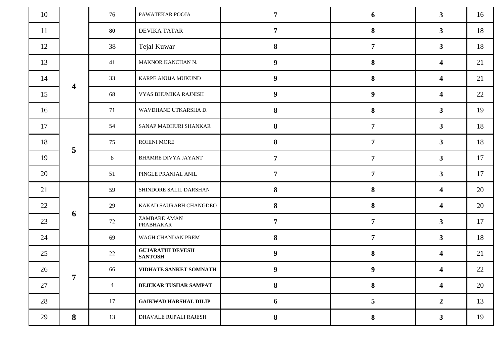| 10 |                         | 76             | PAWATEKAR POOJA                           | $\overline{7}$   | 6                | $\mathbf{3}$            | 16 |
|----|-------------------------|----------------|-------------------------------------------|------------------|------------------|-------------------------|----|
| 11 |                         | 80             | <b>DEVIKA TATAR</b>                       | $\overline{7}$   | 8                | 3 <sup>1</sup>          | 18 |
| 12 |                         | 38             | Tejal Kuwar                               | 8                | $\overline{7}$   | 3 <sup>1</sup>          | 18 |
| 13 |                         | 41             | MAKNOR KANCHAN N.                         | 9                | 8                | $\overline{\mathbf{4}}$ | 21 |
| 14 |                         | 33             | KARPE ANUJA MUKUND                        | $\boldsymbol{9}$ | 8                | $\boldsymbol{4}$        | 21 |
| 15 | $\overline{\mathbf{4}}$ | 68             | VYAS BHUMIKA RAJNISH                      | $\boldsymbol{9}$ | $\boldsymbol{9}$ | $\boldsymbol{4}$        | 22 |
| 16 |                         | 71             | WAVDHANE UTKARSHA D.                      | 8                | 8                | 3 <sup>1</sup>          | 19 |
| 17 |                         | 54             | SANAP MADHURI SHANKAR                     | 8                | $\overline{7}$   | $\mathbf{3}$            | 18 |
| 18 |                         | 75             | ROHINI MORE                               | 8                | $\overline{7}$   | 3 <sup>1</sup>          | 18 |
| 19 | 5                       | 6              | <b>BHAMRE DIVYA JAYANT</b>                | $\overline{7}$   | $\overline{7}$   | 3 <sup>1</sup>          | 17 |
| 20 |                         | 51             | PINGLE PRANJAL ANIL                       | $\overline{7}$   | $\overline{7}$   | 3 <sup>1</sup>          | 17 |
| 21 |                         | 59             | SHINDORE SALIL DARSHAN                    | 8                | 8                | $\overline{\mathbf{4}}$ | 20 |
| 22 |                         | 29             | KAKAD SAURABH CHANGDEO                    | 8                | 8                | $\boldsymbol{4}$        | 20 |
| 23 | 6                       | 72             | ZAMBARE AMAN<br>PRABHAKAR                 | $\overline{7}$   | $\overline{7}$   | 3 <sup>1</sup>          | 17 |
| 24 |                         | 69             | WAGH CHANDAN PREM                         | 8                | $\overline{7}$   | $\mathbf{3}$            | 18 |
| 25 |                         | 22             | <b>GUJARATHI DEVESH</b><br><b>SANTOSH</b> | $\boldsymbol{9}$ | 8                | $\overline{\mathbf{4}}$ | 21 |
| 26 |                         | 66             | VIDHATE SANKET SOMNATH                    | $\boldsymbol{9}$ | $\boldsymbol{9}$ | 4                       | 22 |
| 27 | 7                       | $\overline{4}$ | BEJEKAR TUSHAR SAMPAT                     | 8                | 8                | $\overline{\mathbf{4}}$ | 20 |
| 28 |                         | 17             | <b>GAIKWAD HARSHAL DILIP</b>              | 6                | 5                | $\overline{2}$          | 13 |
| 29 | 8                       | 13             | DHAVALE RUPALI RAJESH                     | 8                | 8                | 3 <sup>1</sup>          | 19 |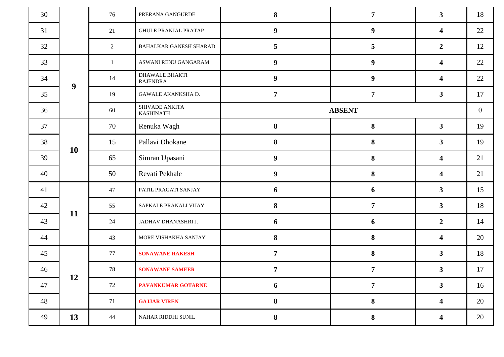| 30 |                  | 76 | PRERANA GANGURDE                         | 8                | $\overline{7}$   | $\mathbf{3}$            | 18 |
|----|------------------|----|------------------------------------------|------------------|------------------|-------------------------|----|
| 31 |                  | 21 | <b>GHULE PRANJAL PRATAP</b>              | $\boldsymbol{9}$ | $\boldsymbol{9}$ | $\boldsymbol{4}$        | 22 |
| 32 |                  | 2  | BAHALKAR GANESH SHARAD                   | $5\overline{)}$  | 5                | $\overline{2}$          | 12 |
| 33 |                  | 1  | ASWANI RENU GANGARAM                     | 9                | $\boldsymbol{9}$ | $\overline{\mathbf{4}}$ | 22 |
| 34 | $\boldsymbol{9}$ | 14 | <b>DHAWALE BHAKTI</b><br><b>RAJENDRA</b> | $\boldsymbol{9}$ | $\boldsymbol{9}$ | $\boldsymbol{4}$        | 22 |
| 35 |                  | 19 | GAWALE AKANKSHA D.                       | $\overline{7}$   | $\overline{7}$   | 3 <sup>1</sup>          | 17 |
| 36 |                  | 60 | SHIVADE ANKITA<br><b>KASHINATH</b>       | <b>ABSENT</b>    |                  |                         |    |
| 37 |                  | 70 | Renuka Wagh                              | $\bf{8}$         | 8                | $\mathbf{3}$            | 19 |
| 38 |                  | 15 | Pallavi Dhokane                          | 8                | 8                | 3 <sup>1</sup>          | 19 |
| 39 | <b>10</b>        | 65 | Simran Upasani                           | 9                | 8                | $\overline{\mathbf{4}}$ | 21 |
| 40 |                  | 50 | Revati Pekhale                           | 9                | 8                | $\overline{\mathbf{4}}$ | 21 |
| 41 |                  | 47 | PATIL PRAGATI SANJAY                     | 6                | 6                | $\overline{\mathbf{3}}$ | 15 |
| 42 | 11               | 55 | SAPKALE PRANALI VIJAY                    | 8                | $\overline{7}$   | 3 <sup>1</sup>          | 18 |
| 43 |                  | 24 | JADHAV DHANASHRI J.                      | 6                | 6                | $\overline{2}$          | 14 |
| 44 |                  | 43 | MORE VISHAKHA SANJAY                     | 8                | 8                | $\boldsymbol{4}$        | 20 |
| 45 |                  | 77 | <b>SONAWANE RAKESH</b>                   | $\overline{7}$   | 8                | 3 <sup>1</sup>          | 18 |
| 46 |                  | 78 | <b>SONAWANE SAMEER</b>                   | $\overline{7}$   | $\overline{7}$   | $\overline{\mathbf{3}}$ | 17 |
| 47 | 12               | 72 | <b>PAVANKUMAR GOTARNE</b>                | 6                | $\overline{7}$   | 3 <sup>1</sup>          | 16 |
| 48 |                  | 71 | <b>GAJJAR VIREN</b>                      | 8                | 8                | $\overline{\mathbf{4}}$ | 20 |
| 49 | 13               | 44 | NAHAR RIDDHI SUNIL                       | 8                | 8                | $\overline{\mathbf{4}}$ | 20 |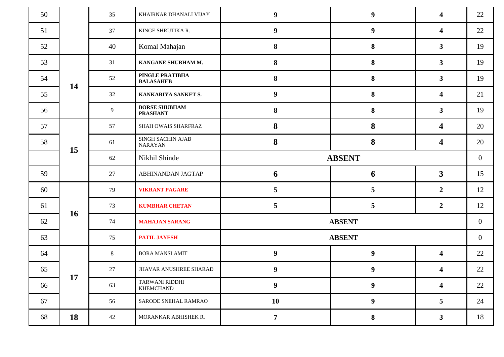| 50 |           | 35             | KHAIRNAR DHANALI VIJAY                  | $\boldsymbol{9}$ | $\boldsymbol{9}$ | $\overline{\mathbf{4}}$ | 22             |
|----|-----------|----------------|-----------------------------------------|------------------|------------------|-------------------------|----------------|
| 51 |           | 37             | KINGE SHRUTIKA R.                       | 9                | $\boldsymbol{9}$ | $\overline{\mathbf{4}}$ | 22             |
| 52 |           | 40             | Komal Mahajan                           | 8                | 8                | 3 <sup>1</sup>          | 19             |
| 53 |           | 31             | KANGANE SHUBHAM M.                      | 8                | 8                | 3 <sup>1</sup>          | 19             |
| 54 | 14        | 52             | PINGLE PRATIBHA<br><b>BALASAHEB</b>     | 8                | 8                | 3 <sup>1</sup>          | 19             |
| 55 |           | 32             | KANKARIYA SANKET S.                     | 9                | 8                | $\boldsymbol{4}$        | 21             |
| 56 |           | $\overline{9}$ | <b>BORSE SHUBHAM</b><br><b>PRASHANT</b> | 8                | 8                | 3 <sup>1</sup>          | 19             |
| 57 |           | 57             | SHAH OWAIS SHARFRAZ                     | 8                | 8                | 4                       | 20             |
| 58 |           | 61             | SINGH SACHIN AJAB<br><b>NARAYAN</b>     | 8                | 8                | $\boldsymbol{4}$        | 20             |
|    | 15        | 62             | Nikhil Shinde                           |                  | <b>ABSENT</b>    |                         | $\overline{0}$ |
| 59 |           | 27             | ABHINANDAN JAGTAP                       | 6                | 6                | $\mathbf{3}$            | 15             |
| 60 |           | 79             | <b>VIKRANT PAGARE</b>                   | 5 <sup>5</sup>   | 5                | $\overline{2}$          | 12             |
| 61 |           | 73             | <b>KUMBHAR CHETAN</b>                   | $5\overline{)}$  | 5                | $\overline{2}$          | 12             |
| 62 | <b>16</b> | 74             | <b>MAHAJAN SARANG</b>                   |                  | <b>ABSENT</b>    |                         | $\overline{0}$ |
| 63 |           | 75             | <b>PATIL JAYESH</b>                     |                  | <b>ABSENT</b>    |                         | $\overline{0}$ |
| 64 |           | $8\phantom{.}$ | <b>BORA MANSI AMIT</b>                  | $\boldsymbol{9}$ | $\boldsymbol{9}$ | $\overline{\mathbf{4}}$ | 22             |
| 65 |           | 27             | JHAVAR ANUSHREE SHARAD                  | $\boldsymbol{9}$ | $\boldsymbol{9}$ | 4                       | 22             |
| 66 | 17        | 63             | TARWANI RIDDHI<br><b>KHEMCHAND</b>      | $\boldsymbol{9}$ | $\boldsymbol{9}$ | $\overline{\mathbf{4}}$ | 22             |
| 67 |           | 56             | SARODE SNEHAL RAMRAO                    | 10               | $\boldsymbol{9}$ | 5                       | 24             |
| 68 | 18        | 42             | MORANKAR ABHISHEK R.                    | $\overline{7}$   | 8                | $\mathbf{3}$            | 18             |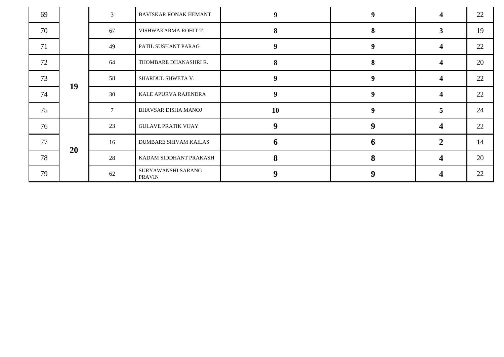| 69 |           | $\mathfrak{Z}$ | BAVISKAR RONAK HEMANT               | $\boldsymbol{9}$ | 9                | $\overline{\mathbf{4}}$ | 22 |
|----|-----------|----------------|-------------------------------------|------------------|------------------|-------------------------|----|
| 70 |           | 67             | VISHWAKARMA ROHIT T.                | 8                | 8                | $\mathbf{3}$            | 19 |
| 71 |           | 49             | PATIL SUSHANT PARAG                 | 9 <sup>°</sup>   | 9                | 4                       | 22 |
| 72 |           | 64             | THOMBARE DHANASHRI R.               | 8                | 8                | $\boldsymbol{4}$        | 20 |
| 73 | 19        | 58             | SHARDUL SHWETA V.                   | $\boldsymbol{9}$ | $\boldsymbol{9}$ | $\overline{\mathbf{4}}$ | 22 |
| 74 |           | 30             | KALE APURVA RAJENDRA                | 9                | 9                | 4                       | 22 |
| 75 |           | $\tau$         | BHAVSAR DISHA MANOJ                 | <b>10</b>        | 9                | 5                       | 24 |
| 76 |           | 23             | <b>GULAVE PRATIK VIJAY</b>          | $\boldsymbol{9}$ | 9                | 4                       | 22 |
| 77 | <b>20</b> | 16             | <b>DUMBARE SHIVAM KAILAS</b>        | 6                | $\mathbf b$      | $\overline{2}$          | 14 |
| 78 |           | 28             | KADAM SIDDHANT PRAKASH              | 8                | 8                | 4                       | 20 |
| 79 |           | 62             | SURYAWANSHI SARANG<br><b>PRAVIN</b> | $\boldsymbol{9}$ | $\boldsymbol{9}$ |                         | 22 |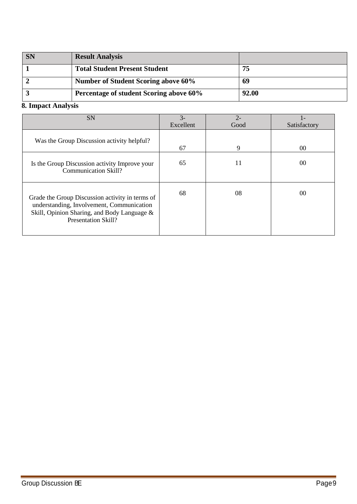| <b>SN</b> | <b>Result Analysis</b>                     |       |
|-----------|--------------------------------------------|-------|
|           | <b>Total Student Present Student</b>       | 75    |
|           | <b>Number of Student Scoring above 60%</b> | 69    |
|           | Percentage of student Scoring above 60%    | 92.00 |

# **8. Impact Analysis**

| <b>SN</b>                                                                                                                                                                 | $3-$      | $2 -$ |                |
|---------------------------------------------------------------------------------------------------------------------------------------------------------------------------|-----------|-------|----------------|
|                                                                                                                                                                           | Excellent | Good  | Satisfactory   |
| Was the Group Discussion activity helpful?                                                                                                                                | 67        | 9     | 0 <sup>0</sup> |
| Is the Group Discussion activity Improve your<br><b>Communication Skill?</b>                                                                                              | 65        | 11    | 00             |
| Grade the Group Discussion activity in terms of<br>understanding, Involvement, Communication<br>Skill, Opinion Sharing, and Body Language &<br><b>Presentation Skill?</b> | 68        | 08    | 00             |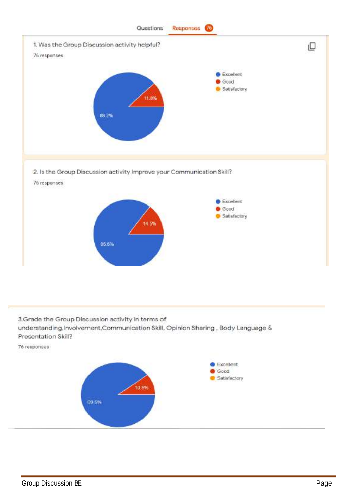

3.Grade the Group Discussion activity in terms of understanding, Involvement, Communication Skill, Opinion Sharing, Body Language & Presentation Skill?

76 responses



10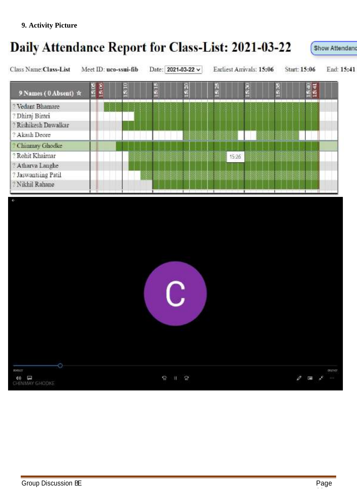# Daily Attendance Report for Class-List: 2021-03-22 Show Attendant Class Name: Class-List Meet ID: uco-ssui-fib Date: 2021-03-22 v Earliest Arrivals: 15:06 Start: 15:06 End: 15:41 S OS 506 5.25  $\frac{4}{1541}$ š, š é ē 9 Names (0 Absent) ☆ ? Vedant Bhamare ? Dhiraj Birari ? Rishikesh Dawalkar ? Akash Deore <sup>2</sup> Chinmay Ghodke ? Rohit Khairnar 15:26 ? Atharva Langhe ? Jaswantsing Patil ? Nikhil Rahane C **ROOSTY** 002107 **40 E**<br>CHINMAY GHOOKE  $\mathcal{O} \quad \overline{\text{me}} \quad \mathcal{S} \quad \cdots$  $9.12$